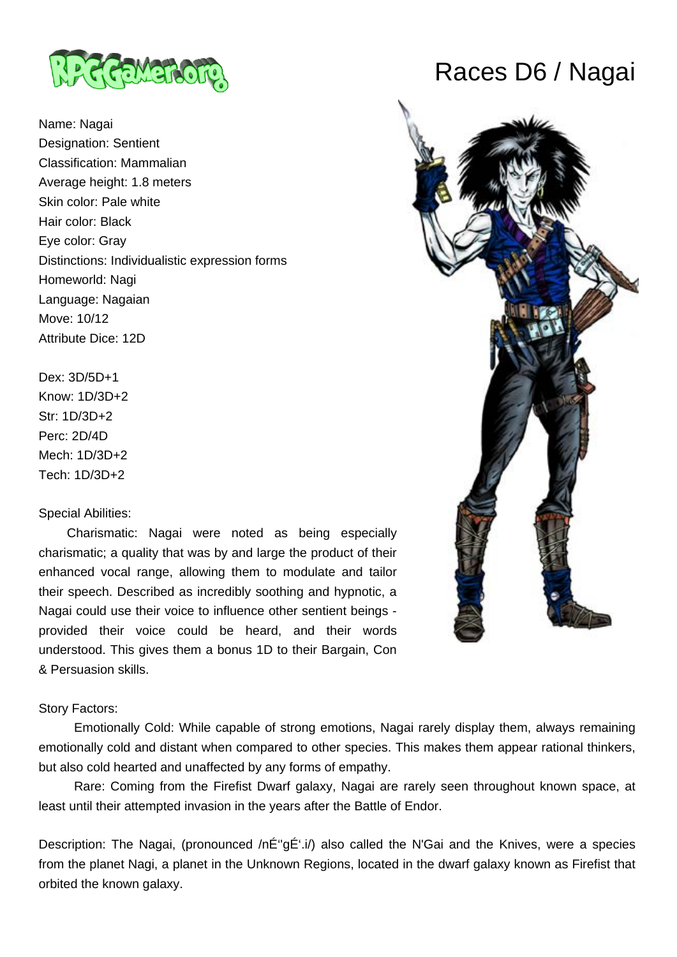

Name: Nagai Designation: Sentient Classification: Mammalian Average height: 1.8 meters Skin color: Pale white Hair color: Black Eye color: Gray Distinctions: Individualistic expression forms Homeworld: Nagi Language: Nagaian Move: 10/12 Attribute Dice: 12D

Dex: 3D/5D+1 Know: 1D/3D+2 Str: 1D/3D+2 Perc: 2D/4D Mech: 1D/3D+2 Tech: 1D/3D+2

### Special Abilities:

 Charismatic: Nagai were noted as being especially charismatic; a quality that was by and large the product of their enhanced vocal range, allowing them to modulate and tailor their speech. Described as incredibly soothing and hypnotic, a Nagai could use their voice to influence other sentient beings provided their voice could be heard, and their words understood. This gives them a bonus 1D to their Bargain, Con & Persuasion skills.

#### Story Factors:

 Emotionally Cold: While capable of strong emotions, Nagai rarely display them, always remaining emotionally cold and distant when compared to other species. This makes them appear rational thinkers, but also cold hearted and unaffected by any forms of empathy.

 Rare: Coming from the Firefist Dwarf galaxy, Nagai are rarely seen throughout known space, at least until their attempted invasion in the years after the Battle of Endor.

Description: The Nagai, (pronounced /nÉ"gÉ'.i/) also called the N'Gai and the Knives, were a species from the planet Nagi, a planet in the Unknown Regions, located in the dwarf galaxy known as Firefist that orbited the known galaxy.

# Races D6 / Nagai

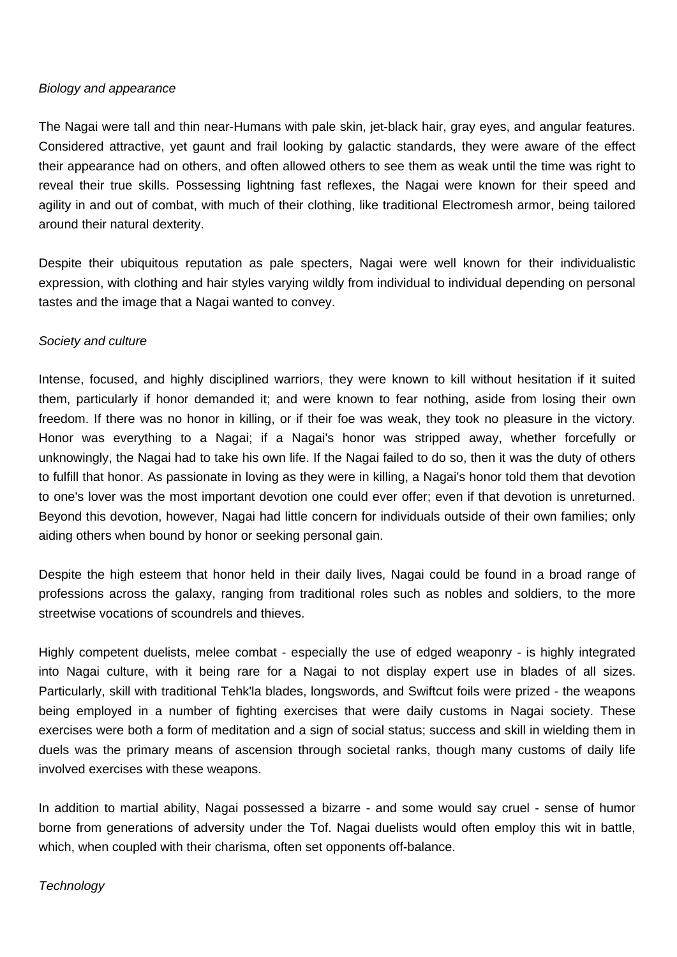### Biology and appearance

The Nagai were tall and thin near-Humans with pale skin, jet-black hair, gray eyes, and angular features. Considered attractive, yet gaunt and frail looking by galactic standards, they were aware of the effect their appearance had on others, and often allowed others to see them as weak until the time was right to reveal their true skills. Possessing lightning fast reflexes, the Nagai were known for their speed and agility in and out of combat, with much of their clothing, like traditional Electromesh armor, being tailored around their natural dexterity.

Despite their ubiquitous reputation as pale specters, Nagai were well known for their individualistic expression, with clothing and hair styles varying wildly from individual to individual depending on personal tastes and the image that a Nagai wanted to convey.

### Society and culture

Intense, focused, and highly disciplined warriors, they were known to kill without hesitation if it suited them, particularly if honor demanded it; and were known to fear nothing, aside from losing their own freedom. If there was no honor in killing, or if their foe was weak, they took no pleasure in the victory. Honor was everything to a Nagai; if a Nagai's honor was stripped away, whether forcefully or unknowingly, the Nagai had to take his own life. If the Nagai failed to do so, then it was the duty of others to fulfill that honor. As passionate in loving as they were in killing, a Nagai's honor told them that devotion to one's lover was the most important devotion one could ever offer; even if that devotion is unreturned. Beyond this devotion, however, Nagai had little concern for individuals outside of their own families; only aiding others when bound by honor or seeking personal gain.

Despite the high esteem that honor held in their daily lives, Nagai could be found in a broad range of professions across the galaxy, ranging from traditional roles such as nobles and soldiers, to the more streetwise vocations of scoundrels and thieves.

Highly competent duelists, melee combat - especially the use of edged weaponry - is highly integrated into Nagai culture, with it being rare for a Nagai to not display expert use in blades of all sizes. Particularly, skill with traditional Tehk'la blades, longswords, and Swiftcut foils were prized - the weapons being employed in a number of fighting exercises that were daily customs in Nagai society. These exercises were both a form of meditation and a sign of social status; success and skill in wielding them in duels was the primary means of ascension through societal ranks, though many customs of daily life involved exercises with these weapons.

In addition to martial ability, Nagai possessed a bizarre - and some would say cruel - sense of humor borne from generations of adversity under the Tof. Nagai duelists would often employ this wit in battle, which, when coupled with their charisma, often set opponents off-balance.

### **Technology**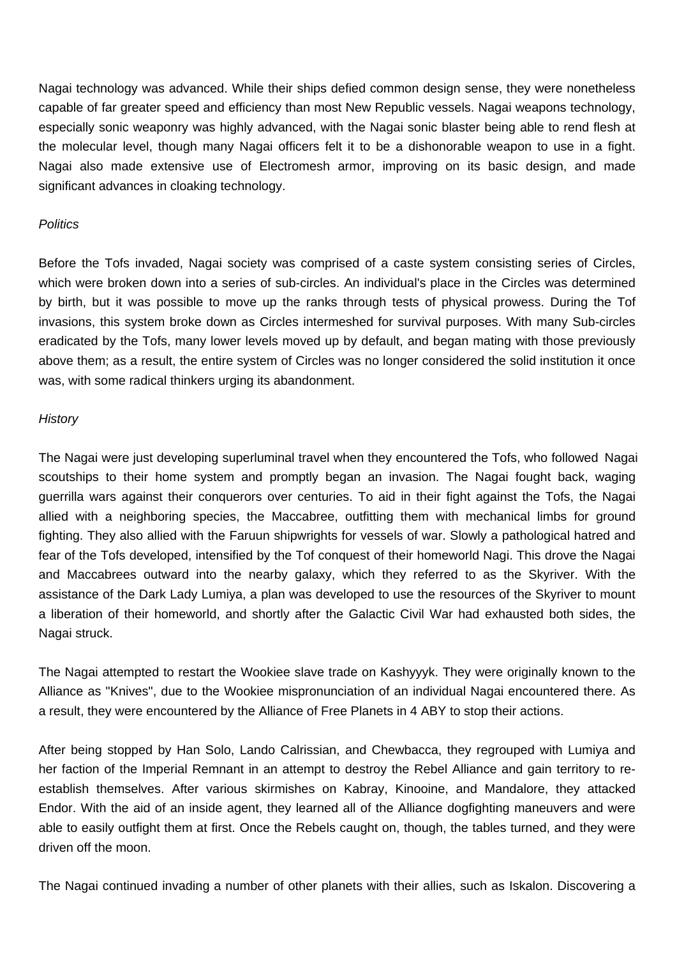Nagai technology was advanced. While their ships defied common design sense, they were nonetheless capable of far greater speed and efficiency than most New Republic vessels. Nagai weapons technology, especially sonic weaponry was highly advanced, with the Nagai sonic blaster being able to rend flesh at the molecular level, though many Nagai officers felt it to be a dishonorable weapon to use in a fight. Nagai also made extensive use of Electromesh armor, improving on its basic design, and made significant advances in cloaking technology.

#### **Politics**

Before the Tofs invaded, Nagai society was comprised of a caste system consisting series of Circles, which were broken down into a series of sub-circles. An individual's place in the Circles was determined by birth, but it was possible to move up the ranks through tests of physical prowess. During the Tof invasions, this system broke down as Circles intermeshed for survival purposes. With many Sub-circles eradicated by the Tofs, many lower levels moved up by default, and began mating with those previously above them; as a result, the entire system of Circles was no longer considered the solid institution it once was, with some radical thinkers urging its abandonment.

### **History**

The Nagai were just developing superluminal travel when they encountered the Tofs, who followed Nagai scoutships to their home system and promptly began an invasion. The Nagai fought back, waging guerrilla wars against their conquerors over centuries. To aid in their fight against the Tofs, the Nagai allied with a neighboring species, the Maccabree, outfitting them with mechanical limbs for ground fighting. They also allied with the Faruun shipwrights for vessels of war. Slowly a pathological hatred and fear of the Tofs developed, intensified by the Tof conquest of their homeworld Nagi. This drove the Nagai and Maccabrees outward into the nearby galaxy, which they referred to as the Skyriver. With the assistance of the Dark Lady Lumiya, a plan was developed to use the resources of the Skyriver to mount a liberation of their homeworld, and shortly after the Galactic Civil War had exhausted both sides, the Nagai struck.

The Nagai attempted to restart the Wookiee slave trade on Kashyyyk. They were originally known to the Alliance as "Knives", due to the Wookiee mispronunciation of an individual Nagai encountered there. As a result, they were encountered by the Alliance of Free Planets in 4 ABY to stop their actions.

After being stopped by Han Solo, Lando Calrissian, and Chewbacca, they regrouped with Lumiya and her faction of the Imperial Remnant in an attempt to destroy the Rebel Alliance and gain territory to reestablish themselves. After various skirmishes on Kabray, Kinooine, and Mandalore, they attacked Endor. With the aid of an inside agent, they learned all of the Alliance dogfighting maneuvers and were able to easily outfight them at first. Once the Rebels caught on, though, the tables turned, and they were driven off the moon.

The Nagai continued invading a number of other planets with their allies, such as Iskalon. Discovering a